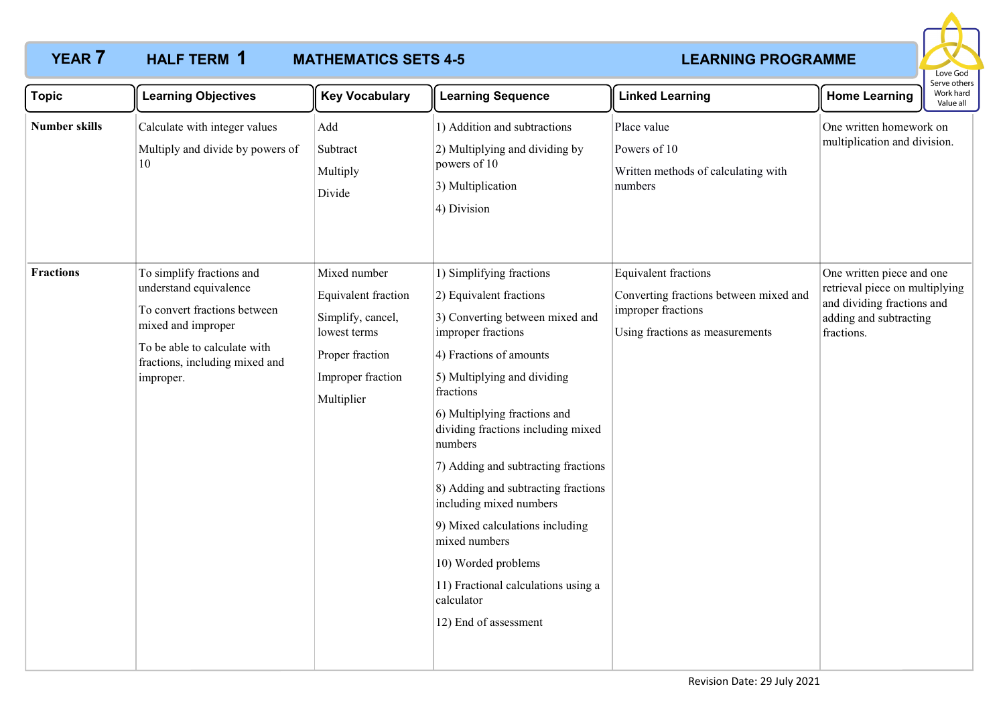

| <b>Topic</b>                             | <b>Learning Objectives</b>                                                                                                                                  | <b>Key Vocabulary</b>                                                                                          | <b>Learning Sequence</b>                                                                                                                                                                                                                                                                                                                                                                                                                                                                                                               | <b>Linked Learning</b>                                                                                       | <b>Home Learning</b>                                                                                 | Serve others<br>Work hard<br>Value all |
|------------------------------------------|-------------------------------------------------------------------------------------------------------------------------------------------------------------|----------------------------------------------------------------------------------------------------------------|----------------------------------------------------------------------------------------------------------------------------------------------------------------------------------------------------------------------------------------------------------------------------------------------------------------------------------------------------------------------------------------------------------------------------------------------------------------------------------------------------------------------------------------|--------------------------------------------------------------------------------------------------------------|------------------------------------------------------------------------------------------------------|----------------------------------------|
| <b>Number skills</b><br><b>Fractions</b> | Calculate with integer values<br>Multiply and divide by powers of<br>10<br>To simplify fractions and                                                        | Add<br>Subtract<br>Multiply<br>Divide<br>Mixed number                                                          | 1) Addition and subtractions<br>2) Multiplying and dividing by<br>powers of 10<br>3) Multiplication<br>4) Division                                                                                                                                                                                                                                                                                                                                                                                                                     | Place value<br>Powers of 10<br>Written methods of calculating with<br>numbers<br><b>Equivalent fractions</b> | One written homework on<br>multiplication and division.<br>One written piece and one                 |                                        |
|                                          | understand equivalence<br>To convert fractions between<br>mixed and improper<br>To be able to calculate with<br>fractions, including mixed and<br>improper. | Equivalent fraction<br>Simplify, cancel,<br>lowest terms<br>Proper fraction<br>Improper fraction<br>Multiplier | 1) Simplifying fractions<br>2) Equivalent fractions<br>3) Converting between mixed and<br>improper fractions<br>4) Fractions of amounts<br>5) Multiplying and dividing<br>fractions<br>6) Multiplying fractions and<br>dividing fractions including mixed<br>numbers<br>7) Adding and subtracting fractions<br>8) Adding and subtracting fractions<br>including mixed numbers<br>9) Mixed calculations including<br>mixed numbers<br>10) Worded problems<br>11) Fractional calculations using a<br>calculator<br>12) End of assessment | Converting fractions between mixed and<br>improper fractions<br>Using fractions as measurements              | retrieval piece on multiplying<br>and dividing fractions and<br>adding and subtracting<br>fractions. |                                        |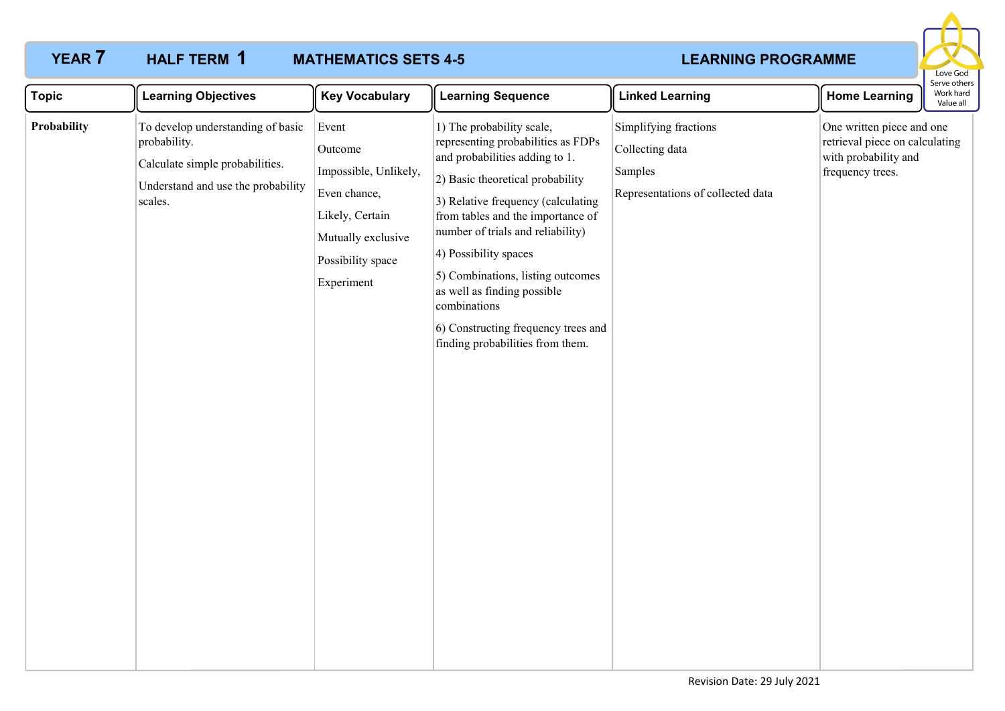

| <b>Topic</b> | <b>Learning Objectives</b>                                                                                                            | <b>Key Vocabulary</b>                                                                                                                 | <b>Learning Sequence</b>                                                                                                                                                                                                                                                                                                                                                                                                                      | <b>Linked Learning</b>                                                                   | <b>Home Learning</b>                                                                                    | serve others<br>Work hard<br>Value all |
|--------------|---------------------------------------------------------------------------------------------------------------------------------------|---------------------------------------------------------------------------------------------------------------------------------------|-----------------------------------------------------------------------------------------------------------------------------------------------------------------------------------------------------------------------------------------------------------------------------------------------------------------------------------------------------------------------------------------------------------------------------------------------|------------------------------------------------------------------------------------------|---------------------------------------------------------------------------------------------------------|----------------------------------------|
| Probability  | To develop understanding of basic<br>probability.<br>Calculate simple probabilities.<br>Understand and use the probability<br>scales. | Event<br>Outcome<br>Impossible, Unlikely,<br>Even chance,<br>Likely, Certain<br>Mutually exclusive<br>Possibility space<br>Experiment | 1) The probability scale,<br>representing probabilities as FDPs<br>and probabilities adding to 1.<br>2) Basic theoretical probability<br>3) Relative frequency (calculating<br>from tables and the importance of<br>number of trials and reliability)<br>4) Possibility spaces<br>5) Combinations, listing outcomes<br>as well as finding possible<br>combinations<br>6) Constructing frequency trees and<br>finding probabilities from them. | Simplifying fractions<br>Collecting data<br>Samples<br>Representations of collected data | One written piece and one<br>retrieval piece on calculating<br>with probability and<br>frequency trees. |                                        |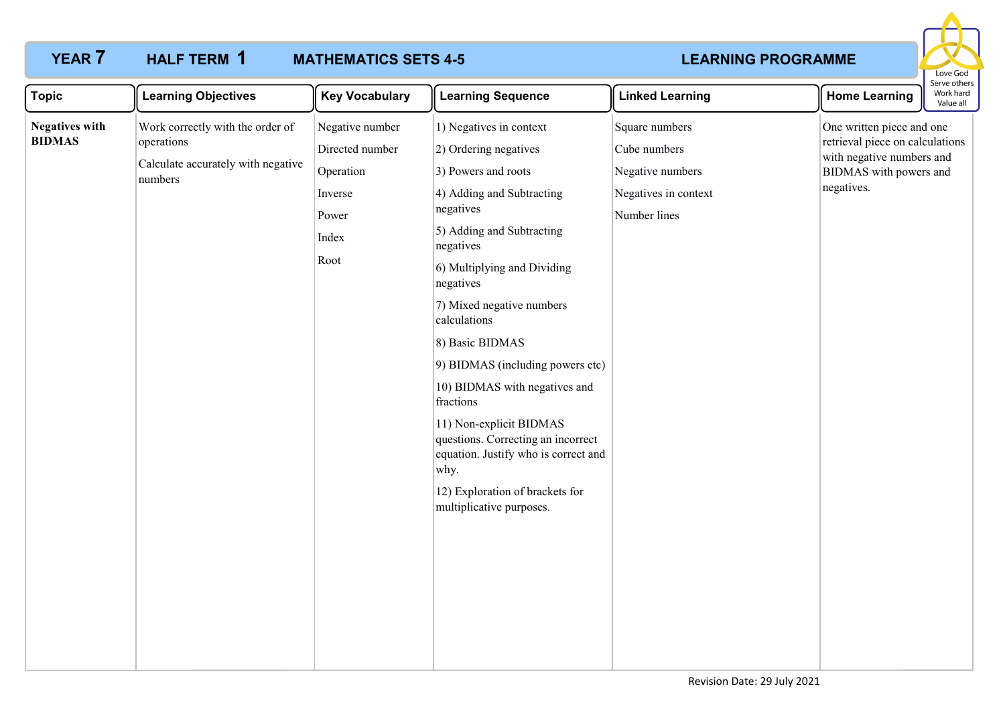

| <b>Topic</b>                           | <b>Learning Objectives</b>                                                                      | <b>Key Vocabulary</b>                                                                | <b>Learning Sequence</b>                                                                                                                                                                                                                                                                                                                                                                                                                                                                                                                  | <b>Linked Learning</b>                                                                     | <b>Home Learning</b>                                                                                                              | serve others<br>Work hard<br>Value all |
|----------------------------------------|-------------------------------------------------------------------------------------------------|--------------------------------------------------------------------------------------|-------------------------------------------------------------------------------------------------------------------------------------------------------------------------------------------------------------------------------------------------------------------------------------------------------------------------------------------------------------------------------------------------------------------------------------------------------------------------------------------------------------------------------------------|--------------------------------------------------------------------------------------------|-----------------------------------------------------------------------------------------------------------------------------------|----------------------------------------|
| <b>Negatives with</b><br><b>BIDMAS</b> | Work correctly with the order of<br>operations<br>Calculate accurately with negative<br>numbers | Negative number<br>Directed number<br>Operation<br>Inverse<br>Power<br>Index<br>Root | 1) Negatives in context<br>2) Ordering negatives<br>3) Powers and roots<br>4) Adding and Subtracting<br>negatives<br>5) Adding and Subtracting<br>negatives<br>6) Multiplying and Dividing<br>negatives<br>7) Mixed negative numbers<br>calculations<br>8) Basic BIDMAS<br>9) BIDMAS (including powers etc)<br>10) BIDMAS with negatives and<br>fractions<br>11) Non-explicit BIDMAS<br>questions. Correcting an incorrect<br>equation. Justify who is correct and<br>why.<br>12) Exploration of brackets for<br>multiplicative purposes. | Square numbers<br>Cube numbers<br>Negative numbers<br>Negatives in context<br>Number lines | One written piece and one<br>retrieval piece on calculations<br>with negative numbers and<br>BIDMAS with powers and<br>negatives. |                                        |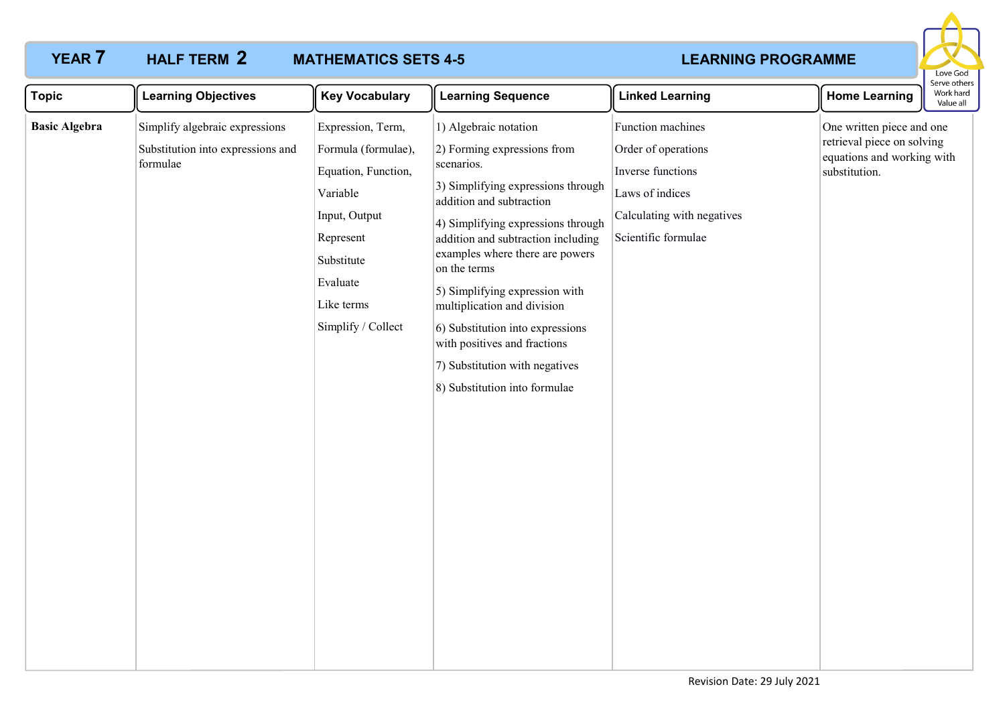

| <b>Topic</b>         | <b>Learning Objectives</b>                                                      | <b>Key Vocabulary</b>                                                                                                                                                   | <b>Learning Sequence</b>                                                                                                                                                                                                                                                                                                                                                                                                                                                    | <b>Linked Learning</b>                                                                                                                | <b>Home Learning</b>                                                                                   | Serve othe<br>Work hard<br>Value all |
|----------------------|---------------------------------------------------------------------------------|-------------------------------------------------------------------------------------------------------------------------------------------------------------------------|-----------------------------------------------------------------------------------------------------------------------------------------------------------------------------------------------------------------------------------------------------------------------------------------------------------------------------------------------------------------------------------------------------------------------------------------------------------------------------|---------------------------------------------------------------------------------------------------------------------------------------|--------------------------------------------------------------------------------------------------------|--------------------------------------|
| <b>Basic Algebra</b> | Simplify algebraic expressions<br>Substitution into expressions and<br>formulae | Expression, Term,<br>Formula (formulae),<br>Equation, Function,<br>Variable<br>Input, Output<br>Represent<br>Substitute<br>Evaluate<br>Like terms<br>Simplify / Collect | 1) Algebraic notation<br>2) Forming expressions from<br>scenarios.<br>3) Simplifying expressions through<br>addition and subtraction<br>4) Simplifying expressions through<br>addition and subtraction including<br>examples where there are powers<br>on the terms<br>5) Simplifying expression with<br>multiplication and division<br>6) Substitution into expressions<br>with positives and fractions<br>7) Substitution with negatives<br>8) Substitution into formulae | Function machines<br>Order of operations<br>Inverse functions<br>Laws of indices<br>Calculating with negatives<br>Scientific formulae | One written piece and one<br>retrieval piece on solving<br>equations and working with<br>substitution. |                                      |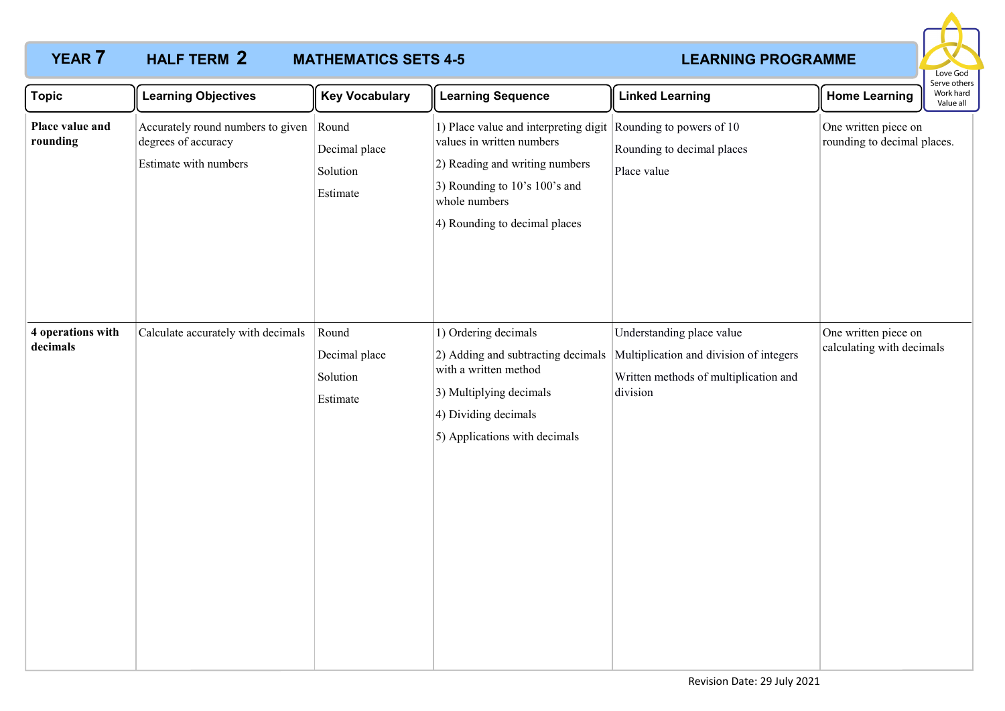

| <b>Topic</b>                  | <b>Learning Objectives</b>                                                        | <b>Key Vocabulary</b>                          | <b>Learning Sequence</b>                                                                                                                                                                                         | <b>Linked Learning</b>                                                                                                                                         | <b>Home Learning</b>                                | Serve others<br>Work hard<br>Value all |
|-------------------------------|-----------------------------------------------------------------------------------|------------------------------------------------|------------------------------------------------------------------------------------------------------------------------------------------------------------------------------------------------------------------|----------------------------------------------------------------------------------------------------------------------------------------------------------------|-----------------------------------------------------|----------------------------------------|
| Place value and<br>rounding   | Accurately round numbers to given<br>degrees of accuracy<br>Estimate with numbers | Round<br>Decimal place<br>Solution<br>Estimate | 1) Place value and interpreting digit Rounding to powers of 10<br>values in written numbers<br>2) Reading and writing numbers<br>3) Rounding to 10's 100's and<br>whole numbers<br>4) Rounding to decimal places | Rounding to decimal places<br>Place value                                                                                                                      | One written piece on<br>rounding to decimal places. |                                        |
| 4 operations with<br>decimals | Calculate accurately with decimals                                                | Round<br>Decimal place<br>Solution<br>Estimate | 1) Ordering decimals<br>with a written method<br>3) Multiplying decimals<br>4) Dividing decimals<br>5) Applications with decimals                                                                                | Understanding place value<br>2) Adding and subtracting decimals   Multiplication and division of integers<br>Written methods of multiplication and<br>division | One written piece on<br>calculating with decimals   |                                        |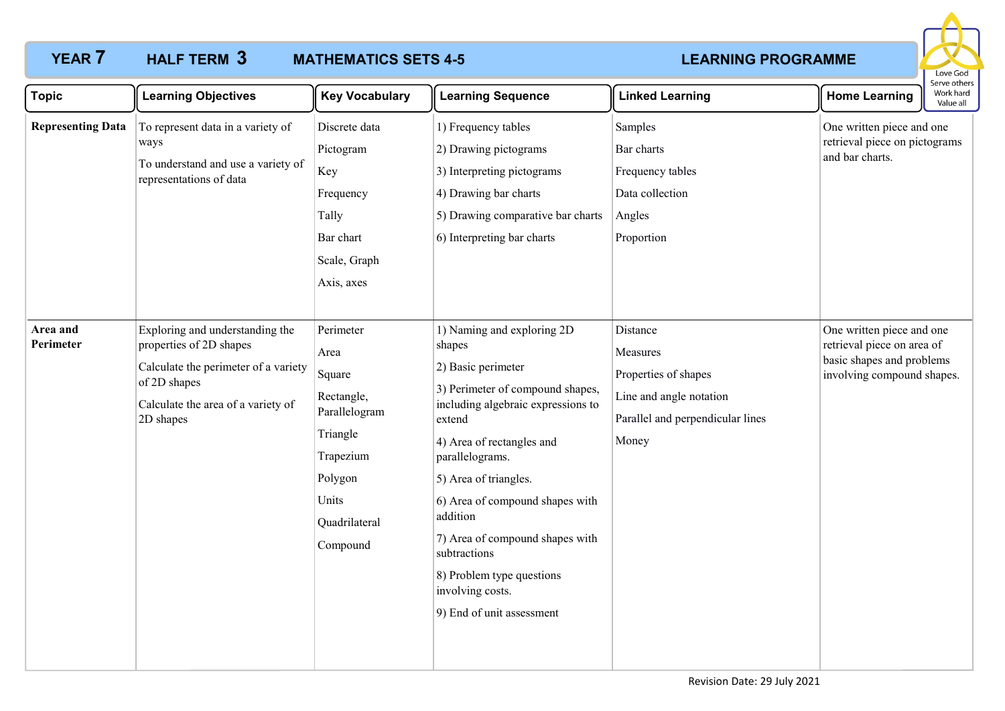# HALF TERM 3



| <b>Topic</b>             | <b>Learning Objectives</b>                                                                                                                                            | <b>Key Vocabulary</b>                                                                                                                | <b>Learning Sequence</b>                                                                                                                                                                                                                                                                                                                                                                                | <b>Linked Learning</b>                                                                                               | <b>Home Learning</b>                                                                                               | Work hard<br>Value all |
|--------------------------|-----------------------------------------------------------------------------------------------------------------------------------------------------------------------|--------------------------------------------------------------------------------------------------------------------------------------|---------------------------------------------------------------------------------------------------------------------------------------------------------------------------------------------------------------------------------------------------------------------------------------------------------------------------------------------------------------------------------------------------------|----------------------------------------------------------------------------------------------------------------------|--------------------------------------------------------------------------------------------------------------------|------------------------|
| <b>Representing Data</b> | To represent data in a variety of<br>ways<br>To understand and use a variety of<br>representations of data                                                            | Discrete data<br>Pictogram<br>Key<br>Frequency<br>Tally<br>Bar chart<br>Scale, Graph<br>Axis, axes                                   | 1) Frequency tables<br>2) Drawing pictograms<br>3) Interpreting pictograms<br>4) Drawing bar charts<br>5) Drawing comparative bar charts<br>6) Interpreting bar charts                                                                                                                                                                                                                                  | Samples<br>Bar charts<br>Frequency tables<br>Data collection<br>Angles<br>Proportion                                 | One written piece and one<br>retrieval piece on pictograms<br>and bar charts.                                      |                        |
| Area and<br>Perimeter    | Exploring and understanding the<br>properties of 2D shapes<br>Calculate the perimeter of a variety<br>of 2D shapes<br>Calculate the area of a variety of<br>2D shapes | Perimeter<br>Area<br>Square<br>Rectangle,<br>Parallelogram<br>Triangle<br>Trapezium<br>Polygon<br>Units<br>Quadrilateral<br>Compound | 1) Naming and exploring 2D<br>shapes<br>2) Basic perimeter<br>3) Perimeter of compound shapes,<br>including algebraic expressions to<br>extend<br>4) Area of rectangles and<br>parallelograms.<br>5) Area of triangles.<br>6) Area of compound shapes with<br>addition<br>7) Area of compound shapes with<br>subtractions<br>8) Problem type questions<br>involving costs.<br>9) End of unit assessment | Distance<br>Measures<br>Properties of shapes<br>Line and angle notation<br>Parallel and perpendicular lines<br>Money | One written piece and one<br>retrieval piece on area of<br>basic shapes and problems<br>involving compound shapes. |                        |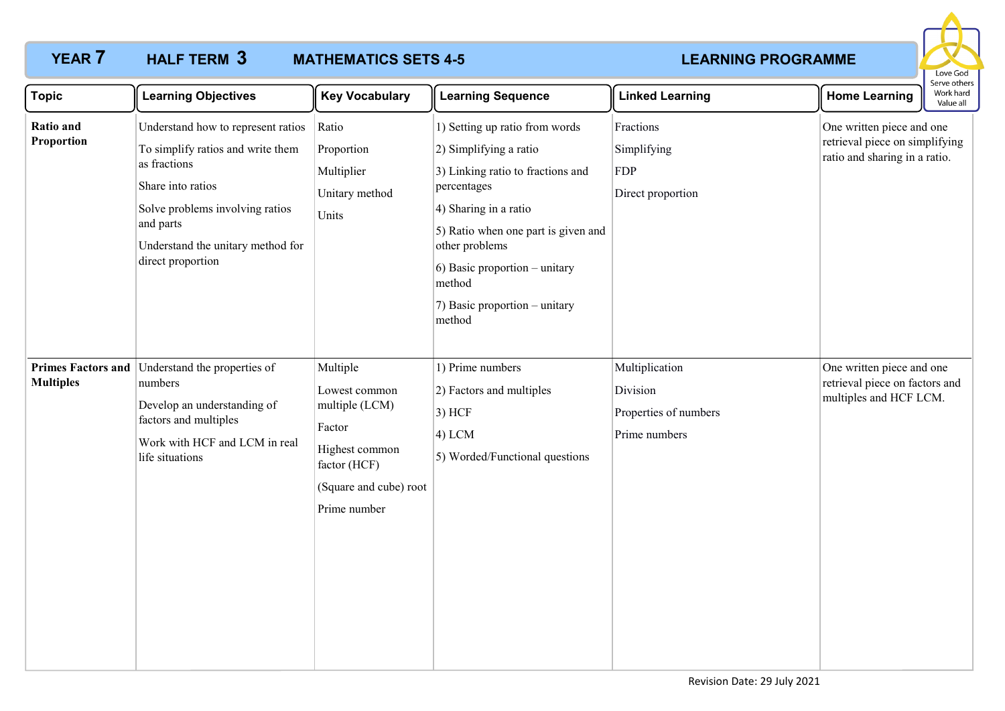

| <b>Topic</b>            | <b>Learning Objectives</b>                                                                                                                                                                                             | <b>Key Vocabulary</b>                                                                                                             | <b>Learning Sequence</b>                                                                                                                                                                                                                                                             | <b>Linked Learning</b>                                               | serve other<br>Work hard<br><b>Home Learning</b><br>Value all                                |
|-------------------------|------------------------------------------------------------------------------------------------------------------------------------------------------------------------------------------------------------------------|-----------------------------------------------------------------------------------------------------------------------------------|--------------------------------------------------------------------------------------------------------------------------------------------------------------------------------------------------------------------------------------------------------------------------------------|----------------------------------------------------------------------|----------------------------------------------------------------------------------------------|
| Ratio and<br>Proportion | Understand how to represent ratios<br>To simplify ratios and write them<br>as fractions<br>Share into ratios<br>Solve problems involving ratios<br>and parts<br>Understand the unitary method for<br>direct proportion | Ratio<br>Proportion<br>Multiplier<br>Unitary method<br>Units                                                                      | 1) Setting up ratio from words<br>2) Simplifying a ratio<br>3) Linking ratio to fractions and<br>percentages<br>4) Sharing in a ratio<br>5) Ratio when one part is given and<br>other problems<br>6) Basic proportion – unitary<br>method<br>7) Basic proportion – unitary<br>method | Fractions<br>Simplifying<br><b>FDP</b><br>Direct proportion          | One written piece and one<br>retrieval piece on simplifying<br>ratio and sharing in a ratio. |
| <b>Multiples</b>        | Primes Factors and Understand the properties of<br>numbers<br>Develop an understanding of<br>factors and multiples<br>Work with HCF and LCM in real<br>life situations                                                 | Multiple<br>Lowest common<br>multiple (LCM)<br>Factor<br>Highest common<br>factor (HCF)<br>(Square and cube) root<br>Prime number | 1) Prime numbers<br>2) Factors and multiples<br>$3)$ HCF<br>$(4)$ LCM<br>5) Worded/Functional questions                                                                                                                                                                              | Multiplication<br>Division<br>Properties of numbers<br>Prime numbers | One written piece and one<br>retrieval piece on factors and<br>multiples and HCF LCM.        |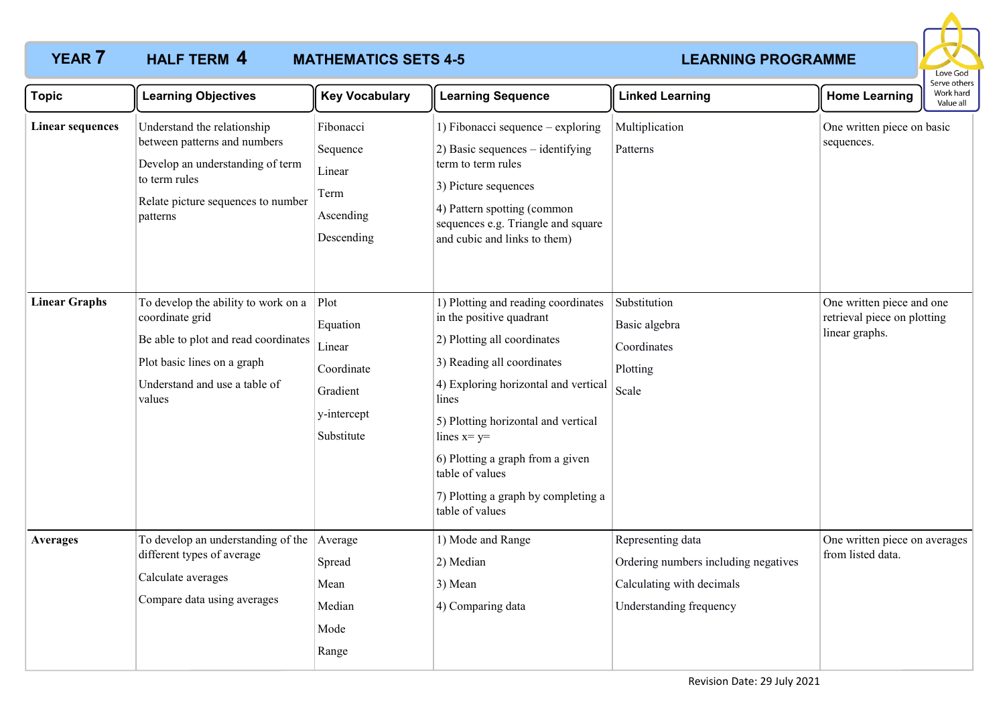

| <b>Topic</b>            | <b>Learning Objectives</b>                                                                                                                                               | <b>Key Vocabulary</b>                                                             | <b>Learning Sequence</b>                                                                                                                                                                                                                                                                                                                               | <b>Linked Learning</b>                                                                                            | <b>Home Learning</b>                                                       | יוטו על היה<br>Work hard<br>Value all |
|-------------------------|--------------------------------------------------------------------------------------------------------------------------------------------------------------------------|-----------------------------------------------------------------------------------|--------------------------------------------------------------------------------------------------------------------------------------------------------------------------------------------------------------------------------------------------------------------------------------------------------------------------------------------------------|-------------------------------------------------------------------------------------------------------------------|----------------------------------------------------------------------------|---------------------------------------|
| <b>Linear sequences</b> | Understand the relationship<br>between patterns and numbers<br>Develop an understanding of term<br>to term rules<br>Relate picture sequences to number<br>patterns       | Fibonacci<br>Sequence<br>Linear<br>Term<br>Ascending<br>Descending                | 1) Fibonacci sequence – exploring<br>2) Basic sequences – identifying<br>term to term rules<br>3) Picture sequences<br>4) Pattern spotting (common<br>sequences e.g. Triangle and square<br>and cubic and links to them)                                                                                                                               | Multiplication<br>Patterns                                                                                        | One written piece on basic<br>sequences.                                   |                                       |
| <b>Linear Graphs</b>    | To develop the ability to work on a<br>coordinate grid<br>Be able to plot and read coordinates<br>Plot basic lines on a graph<br>Understand and use a table of<br>values | Plot<br>Equation<br>Linear<br>Coordinate<br>Gradient<br>y-intercept<br>Substitute | 1) Plotting and reading coordinates<br>in the positive quadrant<br>2) Plotting all coordinates<br>3) Reading all coordinates<br>4) Exploring horizontal and vertical<br>lines<br>5) Plotting horizontal and vertical<br>lines $x= y=$<br>6) Plotting a graph from a given<br>table of values<br>7) Plotting a graph by completing a<br>table of values | Substitution<br>Basic algebra<br>Coordinates<br>Plotting<br>Scale                                                 | One written piece and one<br>retrieval piece on plotting<br>linear graphs. |                                       |
| <b>Averages</b>         | To develop an understanding of the<br>different types of average<br>Calculate averages<br>Compare data using averages                                                    | Average<br>Spread<br>Mean<br>Median<br>Mode<br>Range                              | 1) Mode and Range<br>2) Median<br>3) Mean<br>4) Comparing data                                                                                                                                                                                                                                                                                         | Representing data<br>Ordering numbers including negatives<br>Calculating with decimals<br>Understanding frequency | One written piece on averages<br>from listed data.                         |                                       |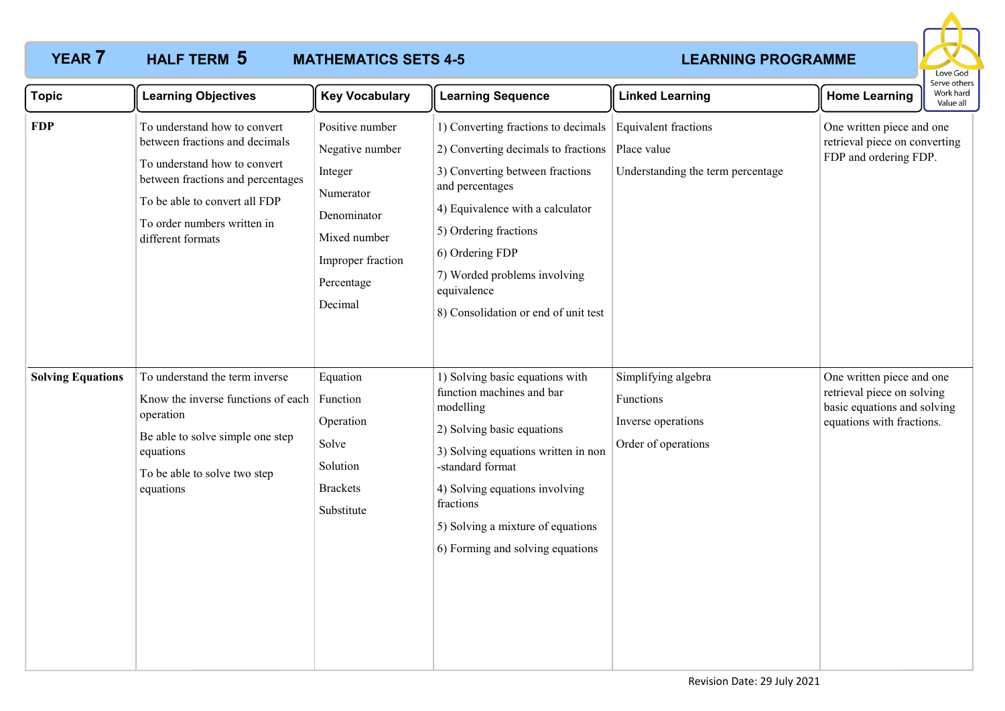# **HALF TERM 5**



| <b>Topic</b>             | <b>Learning Objectives</b>                                                                                                                                                                                               | <b>Key Vocabulary</b>                                                                                                                   | <b>Learning Sequence</b>                                                                                                                                                                                                                                                                                | <b>Linked Learning</b>                                                        | Serve others<br>Work hard<br><b>Home Learning</b><br>Value all                                                      |
|--------------------------|--------------------------------------------------------------------------------------------------------------------------------------------------------------------------------------------------------------------------|-----------------------------------------------------------------------------------------------------------------------------------------|---------------------------------------------------------------------------------------------------------------------------------------------------------------------------------------------------------------------------------------------------------------------------------------------------------|-------------------------------------------------------------------------------|---------------------------------------------------------------------------------------------------------------------|
| <b>FDP</b>               | To understand how to convert<br>between fractions and decimals<br>To understand how to convert<br>between fractions and percentages<br>To be able to convert all FDP<br>To order numbers written in<br>different formats | Positive number<br>Negative number<br>Integer<br>Numerator<br>Denominator<br>Mixed number<br>Improper fraction<br>Percentage<br>Decimal | 1) Converting fractions to decimals<br>2) Converting decimals to fractions<br>3) Converting between fractions<br>and percentages<br>4) Equivalence with a calculator<br>5) Ordering fractions<br>6) Ordering FDP<br>7) Worded problems involving<br>equivalence<br>8) Consolidation or end of unit test | Equivalent fractions<br>Place value<br>Understanding the term percentage      | One written piece and one<br>retrieval piece on converting<br>FDP and ordering FDP.                                 |
| <b>Solving Equations</b> | To understand the term inverse<br>Know the inverse functions of each<br>operation<br>Be able to solve simple one step<br>equations<br>To be able to solve two step<br>equations                                          | Equation<br>Function<br>Operation<br>Solve<br>Solution<br><b>Brackets</b><br>Substitute                                                 | 1) Solving basic equations with<br>function machines and bar<br>modelling<br>2) Solving basic equations<br>3) Solving equations written in non<br>-standard format<br>4) Solving equations involving<br>fractions<br>5) Solving a mixture of equations<br>6) Forming and solving equations              | Simplifying algebra<br>Functions<br>Inverse operations<br>Order of operations | One written piece and one<br>retrieval piece on solving<br>basic equations and solving<br>equations with fractions. |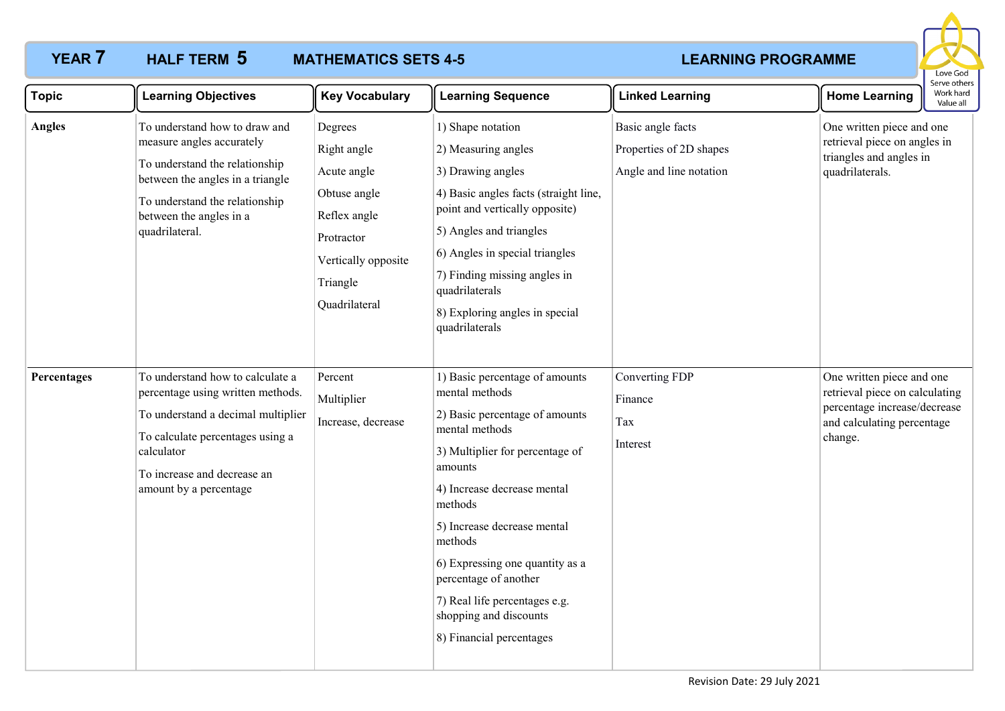

| <b>Topic</b>  | <b>Learning Objectives</b>                                                                                                                                                                                             | <b>Key Vocabulary</b>                                                                                                                   | <b>Learning Sequence</b>                                                                                                                                                                                                                                                                                                                                                                  | <b>Linked Learning</b>                                                  | <b>Home Learning</b>                                                                                                                 | serve others<br>Work hard<br>Value all |
|---------------|------------------------------------------------------------------------------------------------------------------------------------------------------------------------------------------------------------------------|-----------------------------------------------------------------------------------------------------------------------------------------|-------------------------------------------------------------------------------------------------------------------------------------------------------------------------------------------------------------------------------------------------------------------------------------------------------------------------------------------------------------------------------------------|-------------------------------------------------------------------------|--------------------------------------------------------------------------------------------------------------------------------------|----------------------------------------|
| <b>Angles</b> | To understand how to draw and<br>measure angles accurately<br>To understand the relationship<br>between the angles in a triangle<br>To understand the relationship<br>between the angles in a<br>quadrilateral.        | Degrees<br>Right angle<br>Acute angle<br>Obtuse angle<br>Reflex angle<br>Protractor<br>Vertically opposite<br>Triangle<br>Quadrilateral | 1) Shape notation<br>2) Measuring angles<br>3) Drawing angles<br>4) Basic angles facts (straight line,<br>point and vertically opposite)<br>5) Angles and triangles<br>6) Angles in special triangles<br>7) Finding missing angles in<br>quadrilaterals<br>8) Exploring angles in special<br>quadrilaterals                                                                               | Basic angle facts<br>Properties of 2D shapes<br>Angle and line notation | One written piece and one<br>retrieval piece on angles in<br>triangles and angles in<br>quadrilaterals.                              |                                        |
| Percentages   | To understand how to calculate a<br>percentage using written methods.<br>To understand a decimal multiplier<br>To calculate percentages using a<br>calculator<br>To increase and decrease an<br>amount by a percentage | Percent<br>Multiplier<br>Increase, decrease                                                                                             | 1) Basic percentage of amounts<br>mental methods<br>2) Basic percentage of amounts<br>mental methods<br>3) Multiplier for percentage of<br>amounts<br>4) Increase decrease mental<br>methods<br>5) Increase decrease mental<br>methods<br>6) Expressing one quantity as a<br>percentage of another<br>7) Real life percentages e.g.<br>shopping and discounts<br>8) Financial percentages | Converting FDP<br>Finance<br>Tax<br>Interest                            | One written piece and one<br>retrieval piece on calculating<br>percentage increase/decrease<br>and calculating percentage<br>change. |                                        |